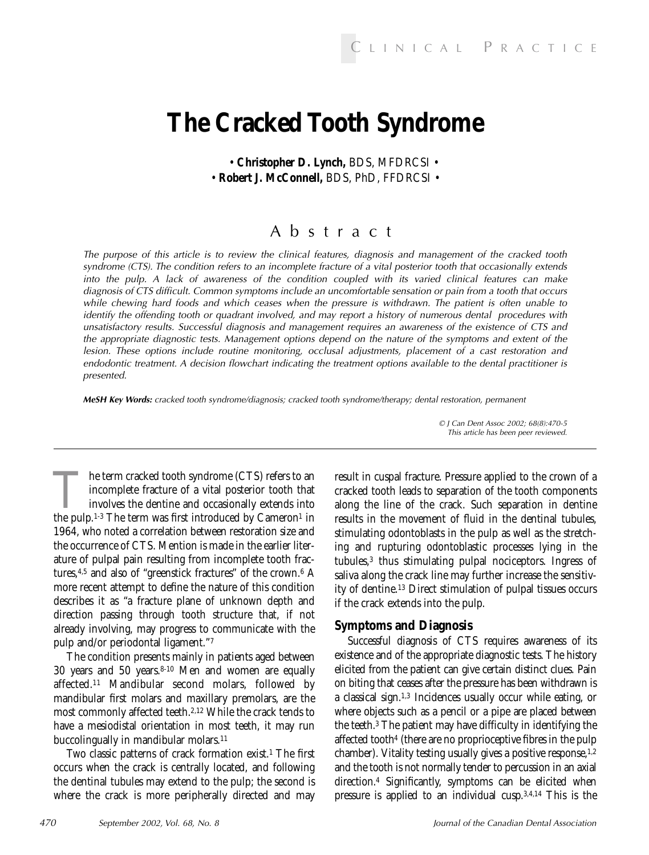# **The Cracked Tooth Syndrome**

• **Christopher D. Lynch,** BDS, MFDRCSI • • **Robert J. McConnell,** BDS, PhD, FFDRCSI •

## Abstract

The purpose of this article is to review the clinical features, diagnosis and management of the cracked tooth syndrome (CTS). The condition refers to an incomplete fracture of a vital posterior tooth that occasionally extends into the pulp. A lack of awareness of the condition coupled with its varied clinical features can make diagnosis of CTS difficult. Common symptoms include an uncomfortable sensation or pain from a tooth that occurs while chewing hard foods and which ceases when the pressure is withdrawn. The patient is often unable to identify the offending tooth or quadrant involved, and may report a history of numerous dental procedures with unsatisfactory results. Successful diagnosis and management requires an awareness of the existence of CTS and the appropriate diagnostic tests. Management options depend on the nature of the symptoms and extent of the lesion. These options include routine monitoring, occlusal adjustments, placement of a cast restoration and endodontic treatment. A decision flowchart indicating the treatment options available to the dental practitioner is presented.

*MeSH Key Words:* cracked tooth syndrome/diagnosis; cracked tooth syndrome/therapy; dental restoration, permanent

The term cracked tooth syndrome (CTS) refers to an incomplete fracture of a vital posterior tooth that involves the dentine and occasionally extends into the pulp.<sup>1-3</sup> The term was first introduced by Cameron<sup>1</sup> in incomplete fracture of a vital posterior tooth that involves the dentine and occasionally extends into the pulp.<sup>1-3</sup> The term was first introduced by  $C$ ameron<sup>1</sup> in 1964, who noted a correlation between restoration size and the occurrence of CTS. Mention is made in the earlier literature of pulpal pain resulting from incomplete tooth fractures,<sup>4,5</sup> and also of "greenstick fractures" of the crown.<sup>6</sup> A more recent attempt to define the nature of this condition describes it as "a fracture plane of unknown depth and direction passing through tooth structure that, if not already involving, may progress to communicate with the pulp and/or periodontal ligament."7

The condition presents mainly in patients aged between 30 years and 50 years.8-10 Men and women are equally affected.11 Mandibular second molars, followed by mandibular first molars and maxillary premolars, are the most commonly affected teeth.2,12 While the crack tends to have a mesiodistal orientation in most teeth, it may run buccolingually in mandibular molars.11

Two classic patterns of crack formation exist.1 The first occurs when the crack is centrally located, and following the dentinal tubules may extend to the pulp; the second is where the crack is more peripherally directed and may

result in cuspal fracture. Pressure applied to the crown of a cracked tooth leads to separation of the tooth components along the line of the crack. Such separation in dentine results in the movement of fluid in the dentinal tubules, stimulating odontoblasts in the pulp as well as the stretching and rupturing odontoblastic processes lying in the tubules,3 thus stimulating pulpal nociceptors. Ingress of saliva along the crack line may further increase the sensitivity of dentine.13 Direct stimulation of pulpal tissues occurs if the crack extends into the pulp.

#### **Symptoms and Diagnosis**

Successful diagnosis of CTS requires awareness of its existence and of the appropriate diagnostic tests. The history elicited from the patient can give certain distinct clues. Pain on biting that ceases after the pressure has been withdrawn is a classical sign.1,3 Incidences usually occur while eating, or where objects such as a pencil or a pipe are placed between the teeth.3 The patient may have difficulty in identifying the affected tooth4 (there are no proprioceptive fibres in the pulp chamber). Vitality testing usually gives a positive response,<sup>1,2</sup> and the tooth is not normally tender to percussion in an axial direction.4 Significantly, symptoms can be elicited when pressure is applied to an individual cusp.3,4,14 This is the

© J Can Dent Assoc 2002; 68(8):470-5 This article has been peer reviewed.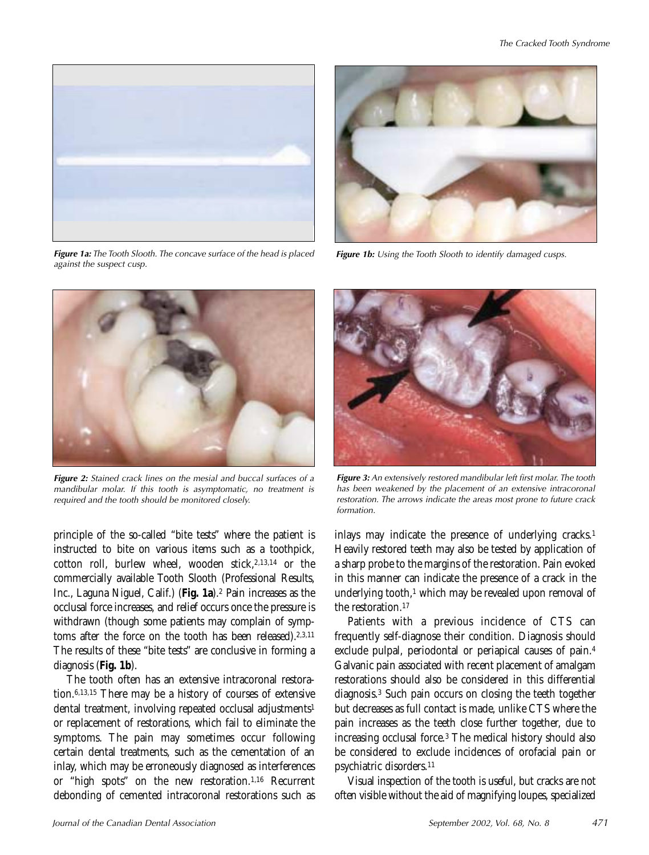

*Figure 1a:* The Tooth Slooth. The concave surface of the head is placed against the suspect cusp.



**Figure 1b:** Using the Tooth Slooth to identify damaged cusps.



*Figure 2:* Stained crack lines on the mesial and buccal surfaces of a mandibular molar. If this tooth is asymptomatic, no treatment is required and the tooth should be monitored closely.

principle of the so-called "bite tests" where the patient is instructed to bite on various items such as a toothpick, cotton roll, burlew wheel, wooden stick,<sup>2,13,14</sup> or the commercially available Tooth Slooth (Professional Results, Inc., Laguna Niguel, Calif.) (**Fig. 1a**).2 Pain increases as the occlusal force increases, and relief occurs once the pressure is withdrawn (though some patients may complain of symptoms after the force on the tooth has been released).<sup>2,3,11</sup> The results of these "bite tests" are conclusive in forming a diagnosis (**Fig. 1b**).

The tooth often has an extensive intracoronal restoration.6,13,15 There may be a history of courses of extensive dental treatment, involving repeated occlusal adjustments<sup>1</sup> or replacement of restorations, which fail to eliminate the symptoms. The pain may sometimes occur following certain dental treatments, such as the cementation of an inlay, which may be erroneously diagnosed as interferences or "high spots" on the new restoration.1,16 Recurrent debonding of cemented intracoronal restorations such as



*Figure 3:* An extensively restored mandibular left first molar. The tooth has been weakened by the placement of an extensive intracoronal restoration. The arrows indicate the areas most prone to future crack formation.

inlays may indicate the presence of underlying cracks.<sup>1</sup> Heavily restored teeth may also be tested by application of a sharp probe to the margins of the restoration. Pain evoked in this manner can indicate the presence of a crack in the underlying tooth,<sup>1</sup> which may be revealed upon removal of the restoration.17

Patients with a previous incidence of CTS can frequently self-diagnose their condition. Diagnosis should exclude pulpal, periodontal or periapical causes of pain.4 Galvanic pain associated with recent placement of amalgam restorations should also be considered in this differential diagnosis.3 Such pain occurs on closing the teeth together but decreases as full contact is made, unlike CTS where the pain increases as the teeth close further together, due to increasing occlusal force.3 The medical history should also be considered to exclude incidences of orofacial pain or psychiatric disorders.11

Visual inspection of the tooth is useful, but cracks are not often visible without the aid of magnifying loupes, specialized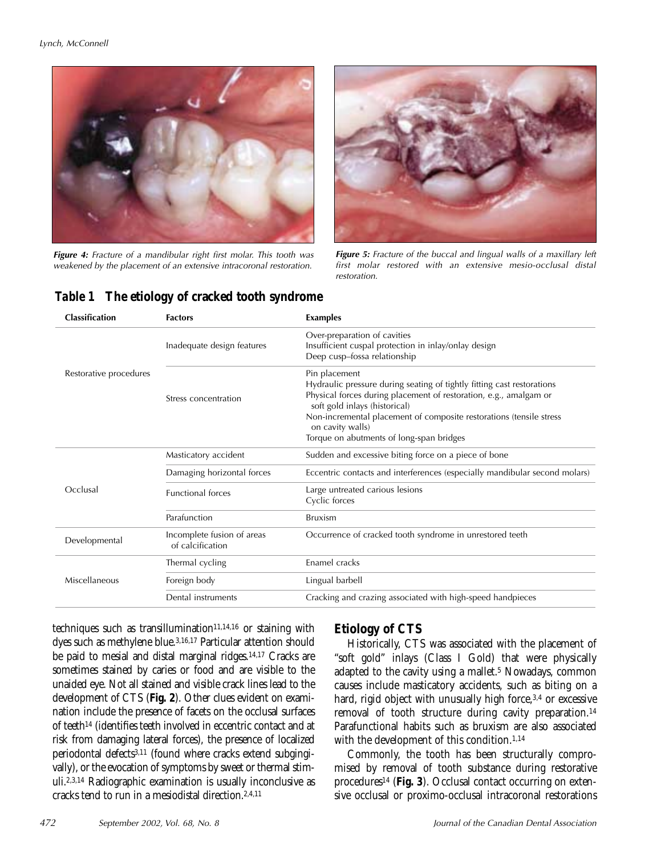

*Figure 4:* Fracture of a mandibular right first molar. This tooth was weakened by the placement of an extensive intracoronal restoration.



**Figure 5:** Fracture of the buccal and lingual walls of a maxillary left first molar restored with an extensive mesio-occlusal distal restoration.

| Classification         | <b>Factors</b>                                 | <b>Examples</b>                                                                                                                                                                                                                                                                                                                      |
|------------------------|------------------------------------------------|--------------------------------------------------------------------------------------------------------------------------------------------------------------------------------------------------------------------------------------------------------------------------------------------------------------------------------------|
|                        | Inadequate design features                     | Over-preparation of cavities<br>Insufficient cuspal protection in inlay/onlay design<br>Deep cusp-fossa relationship                                                                                                                                                                                                                 |
| Restorative procedures | Stress concentration                           | Pin placement<br>Hydraulic pressure during seating of tightly fitting cast restorations<br>Physical forces during placement of restoration, e.g., amalgam or<br>soft gold inlays (historical)<br>Non-incremental placement of composite restorations (tensile stress<br>on cavity walls)<br>Torque on abutments of long-span bridges |
| Occlusal               | Masticatory accident                           | Sudden and excessive biting force on a piece of bone                                                                                                                                                                                                                                                                                 |
|                        | Damaging horizontal forces                     | Eccentric contacts and interferences (especially mandibular second molars)                                                                                                                                                                                                                                                           |
|                        | <b>Functional forces</b>                       | Large untreated carious lesions<br>Cyclic forces                                                                                                                                                                                                                                                                                     |
|                        | Parafunction                                   | <b>Bruxism</b>                                                                                                                                                                                                                                                                                                                       |
| Developmental          | Incomplete fusion of areas<br>of calcification | Occurrence of cracked tooth syndrome in unrestored teeth                                                                                                                                                                                                                                                                             |
| Miscellaneous          | Thermal cycling                                | <b>Fnamel</b> cracks                                                                                                                                                                                                                                                                                                                 |
|                        | Foreign body                                   | Lingual barbell                                                                                                                                                                                                                                                                                                                      |
|                        | Dental instruments                             | Cracking and crazing associated with high-speed handpieces                                                                                                                                                                                                                                                                           |

*Table 1* **The etiology of cracked tooth syndrome**

techniques such as transillumination<sup>11,14,16</sup> or staining with dyes such as methylene blue.3,16,17 Particular attention should be paid to mesial and distal marginal ridges.<sup>14,17</sup> Cracks are sometimes stained by caries or food and are visible to the unaided eye. Not all stained and visible crack lines lead to the development of CTS (**Fig. 2**). Other clues evident on examination include the presence of facets on the occlusal surfaces of teeth14 (identifies teeth involved in eccentric contact and at risk from damaging lateral forces), the presence of localized periodontal defects3,11 (found where cracks extend subgingivally), or the evocation of symptoms by sweet or thermal stimuli.2,3,14 Radiographic examination is usually inconclusive as cracks tend to run in a mesiodistal direction.2,4,11

### **Etiology of CTS**

Historically, CTS was associated with the placement of "soft gold" inlays (Class I Gold) that were physically adapted to the cavity using a mallet.<sup>5</sup> Nowadays, common causes include masticatory accidents, such as biting on a hard, rigid object with unusually high force, 3,4 or excessive removal of tooth structure during cavity preparation.14 Parafunctional habits such as bruxism are also associated with the development of this condition.<sup>1,14</sup>

Commonly, the tooth has been structurally compromised by removal of tooth substance during restorative procedures14 (**Fig. 3**). Occlusal contact occurring on extensive occlusal or proximo-occlusal intracoronal restorations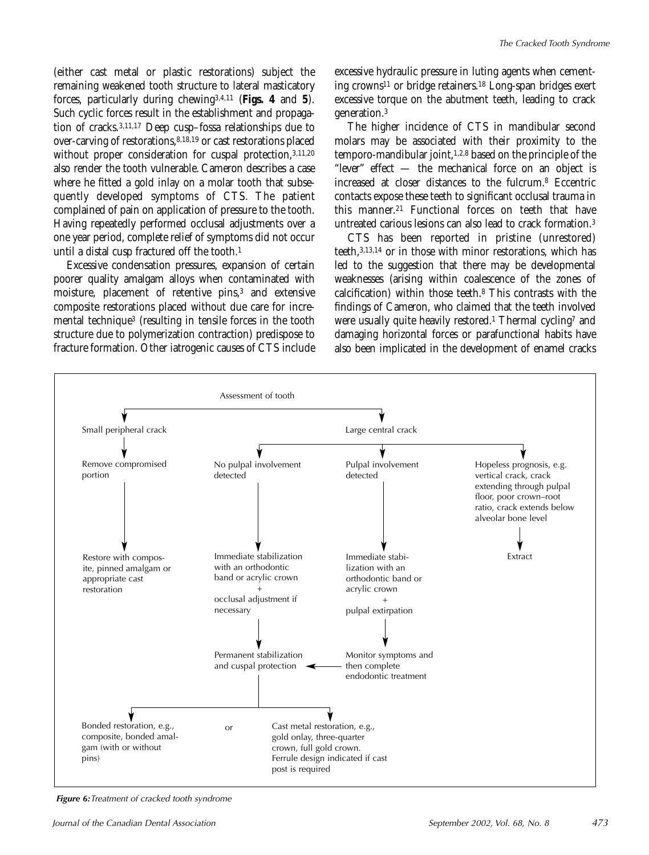(either cast metal or plastic restorations) subject the remaining weakened tooth structure to lateral masticatory forces, particularly during chewing3,4,11 (**Figs. 4** and **5**). Such cyclic forces result in the establishment and propagation of cracks.3,11,17 Deep cusp–fossa relationships due to over-carving of restorations,8,18,19 or cast restorations placed without proper consideration for cuspal protection, 3,11,20 also render the tooth vulnerable. Cameron describes a case where he fitted a gold inlay on a molar tooth that subsequently developed symptoms of CTS. The patient complained of pain on application of pressure to the tooth. Having repeatedly performed occlusal adjustments over a one year period, complete relief of symptoms did not occur until a distal cusp fractured off the tooth.1

Excessive condensation pressures, expansion of certain poorer quality amalgam alloys when contaminated with moisture, placement of retentive pins,3 and extensive composite restorations placed without due care for incremental technique3 (resulting in tensile forces in the tooth structure due to polymerization contraction) predispose to fracture formation. Other iatrogenic causes of CTS include

excessive hydraulic pressure in luting agents when cementing crowns11 or bridge retainers.18 Long-span bridges exert excessive torque on the abutment teeth, leading to crack generation.3

The higher incidence of CTS in mandibular second molars may be associated with their proximity to the temporo-mandibular joint,1,2,8 based on the principle of the "lever" effect — the mechanical force on an object is increased at closer distances to the fulcrum.8 Eccentric contacts expose these teeth to significant occlusal trauma in this manner.21 Functional forces on teeth that have untreated carious lesions can also lead to crack formation.3

CTS has been reported in pristine (unrestored) teeth,3,13,14 or in those with minor restorations, which has led to the suggestion that there may be developmental weaknesses (arising within coalescence of the zones of calcification) within those teeth.8 This contrasts with the findings of Cameron, who claimed that the teeth involved were usually quite heavily restored.<sup>1</sup> Thermal cycling<sup>7</sup> and damaging horizontal forces or parafunctional habits have also been implicated in the development of enamel cracks



*Figure 6:*Treatment of cracked tooth syndrome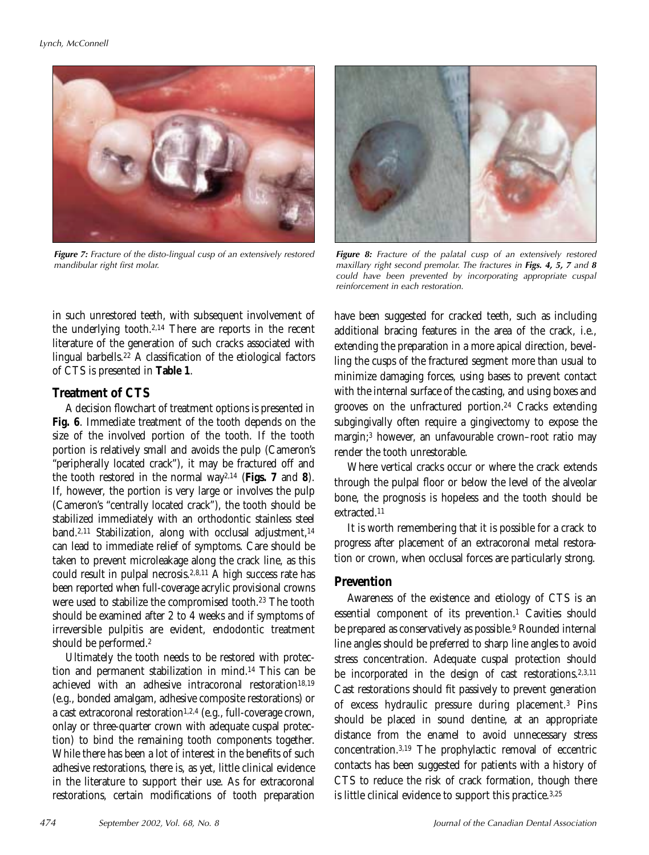

*Figure 7:* Fracture of the disto-lingual cusp of an extensively restored mandibular right first molar.

**Figure 8:** Fracture of the palatal cusp of an extensively restored maxillary right second premolar. The fractures in *Figs. 4, 5, 7* and *8* could have been prevented by incorporating appropriate cuspal reinforcement in each restoration.

in such unrestored teeth, with subsequent involvement of the underlying tooth.2,14 There are reports in the recent literature of the generation of such cracks associated with lingual barbells.22 A classification of the etiological factors of CTS is presented in **Table 1**.

## **Treatment of CTS**

A decision flowchart of treatment options is presented in **Fig. 6**. Immediate treatment of the tooth depends on the size of the involved portion of the tooth. If the tooth portion is relatively small and avoids the pulp (Cameron's "peripherally located crack"), it may be fractured off and the tooth restored in the normal way2,14 (**Figs. 7** and **8**). If, however, the portion is very large or involves the pulp (Cameron's "centrally located crack"), the tooth should be stabilized immediately with an orthodontic stainless steel band.<sup>2,11</sup> Stabilization, along with occlusal adjustment,<sup>14</sup> can lead to immediate relief of symptoms. Care should be taken to prevent microleakage along the crack line, as this could result in pulpal necrosis.2,8,11 A high success rate has been reported when full-coverage acrylic provisional crowns were used to stabilize the compromised tooth.23 The tooth should be examined after 2 to 4 weeks and if symptoms of irreversible pulpitis are evident, endodontic treatment should be performed.2

Ultimately the tooth needs to be restored with protection and permanent stabilization in mind.14 This can be achieved with an adhesive intracoronal restoration<sup>18,19</sup> (e.g., bonded amalgam, adhesive composite restorations) or a cast extracoronal restoration<sup>1,2,4</sup> (e.g., full-coverage crown, onlay or three-quarter crown with adequate cuspal protection) to bind the remaining tooth components together. While there has been a lot of interest in the benefits of such adhesive restorations, there is, as yet, little clinical evidence in the literature to support their use. As for extracoronal restorations, certain modifications of tooth preparation

have been suggested for cracked teeth, such as including additional bracing features in the area of the crack, i.e., extending the preparation in a more apical direction, bevelling the cusps of the fractured segment more than usual to minimize damaging forces, using bases to prevent contact with the internal surface of the casting, and using boxes and grooves on the unfractured portion.24 Cracks extending subgingivally often require a gingivectomy to expose the margin;3 however, an unfavourable crown–root ratio may render the tooth unrestorable.

Where vertical cracks occur or where the crack extends through the pulpal floor or below the level of the alveolar bone, the prognosis is hopeless and the tooth should be extracted.11

It is worth remembering that it is possible for a crack to progress after placement of an extracoronal metal restoration or crown, when occlusal forces are particularly strong.

## **Prevention**

Awareness of the existence and etiology of CTS is an essential component of its prevention.<sup>1</sup> Cavities should be prepared as conservatively as possible.9 Rounded internal line angles should be preferred to sharp line angles to avoid stress concentration. Adequate cuspal protection should be incorporated in the design of cast restorations.<sup>2,3,11</sup> Cast restorations should fit passively to prevent generation of excess hydraulic pressure during placement.3 Pins should be placed in sound dentine, at an appropriate distance from the enamel to avoid unnecessary stress concentration.3,19 The prophylactic removal of eccentric contacts has been suggested for patients with a history of CTS to reduce the risk of crack formation, though there is little clinical evidence to support this practice.3,25